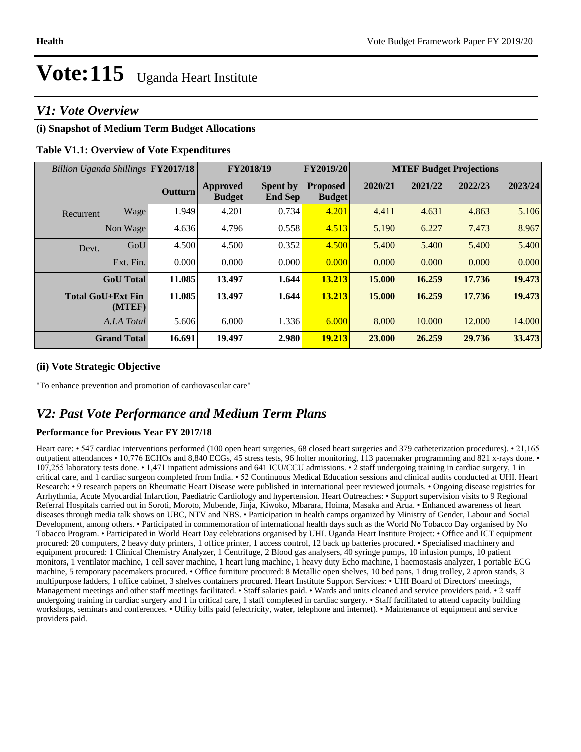# **Vote:115** Uganda Heart Institute

## *V1: Vote Overview*

#### **(i) Snapshot of Medium Term Budget Allocations**

#### **Table V1.1: Overview of Vote Expenditures**

| Billion Uganda Shillings FY2017/18 |                    |                | FY2018/19                        |                                   | FY2019/20                        | <b>MTEF Budget Projections</b> |         |         |         |
|------------------------------------|--------------------|----------------|----------------------------------|-----------------------------------|----------------------------------|--------------------------------|---------|---------|---------|
|                                    |                    | <b>Outturn</b> | <b>Approved</b><br><b>Budget</b> | <b>Spent by</b><br><b>End Sep</b> | <b>Proposed</b><br><b>Budget</b> | 2020/21                        | 2021/22 | 2022/23 | 2023/24 |
| Recurrent                          | Wage               | 1.949          | 4.201                            | 0.734                             | 4.201                            | 4.411                          | 4.631   | 4.863   | 5.106   |
|                                    | Non Wage           | 4.636          | 4.796                            | 0.558                             | 4.513                            | 5.190                          | 6.227   | 7.473   | 8.967   |
| Devt.                              | GoU                | 4.500          | 4.500                            | 0.352                             | 4.500                            | 5.400                          | 5.400   | 5.400   | 5.400   |
|                                    | Ext. Fin.          | 0.000          | 0.000                            | 0.000                             | 0.000                            | 0.000                          | 0.000   | 0.000   | 0.000   |
|                                    | <b>GoU</b> Total   | 11.085         | 13.497                           | 1.644                             | 13.213                           | 15.000                         | 16.259  | 17.736  | 19.473  |
| <b>Total GoU+Ext Fin</b>           | (MTEF)             | 11.085         | 13.497                           | 1.644                             | 13.213                           | 15.000                         | 16.259  | 17.736  | 19.473  |
|                                    | A.I.A Total        | 5.606          | 6.000                            | 1.336                             | 6.000                            | 8.000                          | 10.000  | 12.000  | 14.000  |
|                                    | <b>Grand Total</b> | 16.691         | 19.497                           | 2.980                             | 19.213                           | 23.000                         | 26.259  | 29.736  | 33.473  |

#### **(ii) Vote Strategic Objective**

"To enhance prevention and promotion of cardiovascular care"

## *V2: Past Vote Performance and Medium Term Plans*

#### **Performance for Previous Year FY 2017/18**

Heart care: • 547 cardiac interventions performed (100 open heart surgeries, 68 closed heart surgeries and 379 catheterization procedures). • 21,165 outpatient attendances • 10,776 ECHOs and 8,840 ECGs, 45 stress tests, 96 holter monitoring, 113 pacemaker programming and 821 x-rays done. •  $107,255$  laboratory tests done.  $\cdot$  1,471 inpatient admissions and 641 ICU/CCU admissions.  $\cdot$  2 staff undergoing training in cardiac surgery, 1 in critical care, and 1 cardiac surgeon completed from India. • 52 Continuous Medical Education sessions and clinical audits conducted at UHI. Heart Research: • 9 research papers on Rheumatic Heart Disease were published in international peer reviewed journals. • Ongoing disease registries for Arrhythmia, Acute Myocardial Infarction, Paediatric Cardiology and hypertension. Heart Outreaches: • Support supervision visits to 9 Regional Referral Hospitals carried out in Soroti, Moroto, Mubende, Jinja, Kiwoko, Mbarara, Hoima, Masaka and Arua. Enhanced awareness of heart diseases through media talk shows on UBC, NTV and NBS. • Participation in health camps organized by Ministry of Gender, Labour and Social Development, among others. Participated in commemoration of international health days such as the World No Tobacco Day organised by No Tobacco Program. Participated in World Heart Day celebrations organised by UHI. Uganda Heart Institute Project: Office and ICT equipment procured: 20 computers, 2 heavy duty printers, 1 office printer, 1 access control, 12 back up batteries procured. • Specialised machinery and equipment procured: 1 Clinical Chemistry Analyzer, 1 Centrifuge, 2 Blood gas analysers, 40 syringe pumps, 10 infusion pumps, 10 patient monitors, 1 ventilator machine, 1 cell saver machine, 1 heart lung machine, 1 heavy duty Echo machine, 1 haemostasis analyzer, 1 portable ECG machine, 5 temporary pacemakers procured. • Office furniture procured: 8 Metallic open shelves, 10 bed pans, 1 drug trolley, 2 apron stands, 3 multipurpose ladders, 1 office cabinet, 3 shelves containers procured. Heart Institute Support Services: • UHI Board of Directors' meetings, Management meetings and other staff meetings facilitated. • Staff salaries paid. • Wards and units cleaned and service providers paid. • 2 staff undergoing training in cardiac surgery and 1 in critical care, 1 staff completed in cardiac surgery. • Staff facilitated to attend capacity building workshops, seminars and conferences. • Utility bills paid (electricity, water, telephone and internet). • Maintenance of equipment and service providers paid.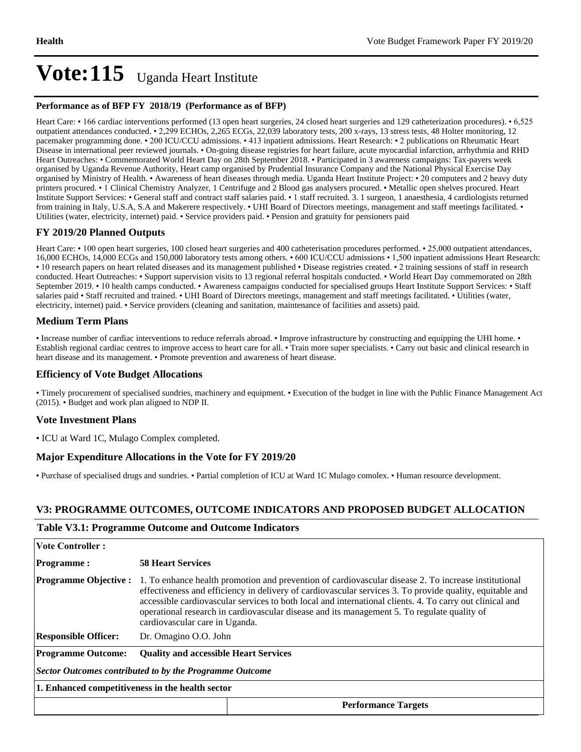## Vote: 115 Uganda Heart Institute

#### **Performance as of BFP FY 2018/19 (Performance as of BFP)**

Heart Care: • 166 cardiac interventions performed (13 open heart surgeries, 24 closed heart surgeries and 129 catheterization procedures). • 6,525 outpatient attendances conducted. • 2,299 ECHOs, 2,265 ECGs, 22,039 laboratory tests, 200 x-rays, 13 stress tests, 48 Holter monitoring, 12 pacemaker programming done. • 200 ICU/CCU admissions. • 413 inpatient admissions. Heart Research: • 2 publications on Rheumatic Heart Disease in international peer reviewed journals. • On-going disease registries for heart failure, acute myocardial infarction, arrhythmia and RHD Heart Outreaches: • Commemorated World Heart Day on 28th September 2018. • Participated in 3 awareness campaigns: Tax-payers week organised by Uganda Revenue Authority, Heart camp organised by Prudential Insurance Company and the National Physical Exercise Day organised by Ministry of Health. • Awareness of heart diseases through media. Uganda Heart Institute Project: • 20 computers and 2 heavy duty printers procured. • 1 Clinical Chemistry Analyzer, 1 Centrifuge and 2 Blood gas analysers procured. • Metallic open shelves procured. Heart Institute Support Services: • General staff and contract staff salaries paid. • 1 staff recruited. 3. 1 surgeon, 1 anaesthesia, 4 cardiologists returned from training in Italy, U.S.A, S.A and Makerere respectively.  $\cdot$  UHI Board of Directors meetings, management and staff meetings facilitated.  $\cdot$ Utilities (water, electricity, internet) paid. • Service providers paid. • Pension and gratuity for pensioners paid

#### **FY 2019/20 Planned Outputs**

Heart Care: • 100 open heart surgeries, 100 closed heart surgeries and 400 catheterisation procedures performed. • 25,000 outpatient attendances, 16,000 ECHOs, 14,000 ECGs and 150,000 laboratory tests among others. • 600 ICU/CCU admissions • 1,500 inpatient admissions Heart Research: • 10 research papers on heart related diseases and its management published • Disease registries created. • 2 training sessions of staff in research conducted. Heart Outreaches: • Support supervision visits to 13 regional referral hospitals conducted. • World Heart Day commemorated on 28th September 2019. • 10 health camps conducted. • Awareness campaigns conducted for specialised groups Heart Institute Support Services: • Staff salaries paid • Staff recruited and trained. • UHI Board of Directors meetings, management and staff meetings facilitated. • Utilities (water, electricity, internet) paid. • Service providers (cleaning and sanitation, maintenance of facilities and assets) paid.

#### **Medium Term Plans**

• Increase number of cardiac interventions to reduce referrals abroad. • Improve infrastructure by constructing and equipping the UHI home. Establish regional cardiac centres to improve access to heart care for all. • Train more super specialists. • Carry out basic and clinical research in heart disease and its management. • Promote prevention and awareness of heart disease.

#### **Efficiency of Vote Budget Allocations**

• Timely procurement of specialised sundries, machinery and equipment. • Execution of the budget in line with the Public Finance Management Act (2015). Budget and work plan aligned to NDP II.

#### **Vote Investment Plans**

ICU at Ward 1C, Mulago Complex completed.

#### **Major Expenditure Allocations in the Vote for FY 2019/20**

• Purchase of specialised drugs and sundries. • Partial completion of ICU at Ward 1C Mulago comolex. • Human resource development.

#### **V3: PROGRAMME OUTCOMES, OUTCOME INDICATORS AND PROPOSED BUDGET ALLOCATION**

#### **Table V3.1: Programme Outcome and Outcome Indicators**

| <b>Vote Controller:</b>                                 |                                                                                                                                                                                                                                                                                                                                                                                                                                                               |                            |  |  |  |  |
|---------------------------------------------------------|---------------------------------------------------------------------------------------------------------------------------------------------------------------------------------------------------------------------------------------------------------------------------------------------------------------------------------------------------------------------------------------------------------------------------------------------------------------|----------------------------|--|--|--|--|
| <b>Programme:</b>                                       | <b>58 Heart Services</b>                                                                                                                                                                                                                                                                                                                                                                                                                                      |                            |  |  |  |  |
| <b>Programme Objective:</b>                             | 1. To enhance health promotion and prevention of cardiovascular disease 2. To increase institutional<br>effectiveness and efficiency in delivery of cardiovascular services 3. To provide quality, equitable and<br>accessible cardiovascular services to both local and international clients. 4. To carry out clinical and<br>operational research in cardiovascular disease and its management 5. To regulate quality of<br>cardiovascular care in Uganda. |                            |  |  |  |  |
| <b>Responsible Officer:</b>                             | Dr. Omagino O.O. John                                                                                                                                                                                                                                                                                                                                                                                                                                         |                            |  |  |  |  |
| <b>Programme Outcome:</b>                               | <b>Ouality and accessible Heart Services</b>                                                                                                                                                                                                                                                                                                                                                                                                                  |                            |  |  |  |  |
| Sector Outcomes contributed to by the Programme Outcome |                                                                                                                                                                                                                                                                                                                                                                                                                                                               |                            |  |  |  |  |
| 1. Enhanced competitiveness in the health sector        |                                                                                                                                                                                                                                                                                                                                                                                                                                                               |                            |  |  |  |  |
|                                                         |                                                                                                                                                                                                                                                                                                                                                                                                                                                               | <b>Performance Targets</b> |  |  |  |  |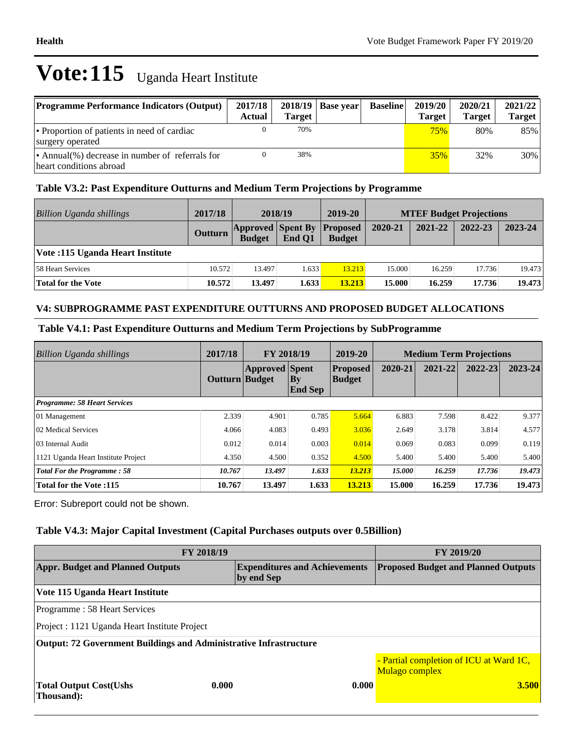# **Vote:115** Uganda Heart Institute

| <b>Programme Performance Indicators (Output)</b>                           | 2017/18<br>Actual | <b>Target</b> | $2018/19$   Base year | <b>Baseline</b> | 2019/20<br><b>Target</b> | 2020/21<br><b>Target</b> | 2021/22<br><b>Target</b> |
|----------------------------------------------------------------------------|-------------------|---------------|-----------------------|-----------------|--------------------------|--------------------------|--------------------------|
| • Proportion of patients in need of cardiac<br>surgery operated            |                   | 70%           |                       |                 | 75%                      | 80%                      | 85%                      |
| • Annual(%) decrease in number of referrals for<br>heart conditions abroad |                   | 38%           |                       |                 | 35%                      | 32%                      | 30%                      |

## **Table V3.2: Past Expenditure Outturns and Medium Term Projections by Programme**

| Billion Uganda shillings         | 2017/18        | 2018/19                                   |        | 2019-20                          | <b>MTEF Budget Projections</b> |         |         |         |
|----------------------------------|----------------|-------------------------------------------|--------|----------------------------------|--------------------------------|---------|---------|---------|
|                                  | <b>Outturn</b> | <b>Approved Spent By</b><br><b>Budget</b> | End O1 | <b>Proposed</b><br><b>Budget</b> | 2020-21                        | 2021-22 | 2022-23 | 2023-24 |
| Vote: 115 Uganda Heart Institute |                |                                           |        |                                  |                                |         |         |         |
| 58 Heart Services                | 10.572         | 13.497                                    | 1.633  | 13.213                           | 15.000                         | 16.259  | 17.736  | 19.473  |
| <b>Total for the Vote</b>        | 10.572         | 13.497                                    | 1.633  | 13.213                           | 15.000                         | 16.259  | 17.736  | 19.473  |

### **V4: SUBPROGRAMME PAST EXPENDITURE OUTTURNS AND PROPOSED BUDGET ALLOCATIONS**

### **Table V4.1: Past Expenditure Outturns and Medium Term Projections by SubProgramme**

| <b>Billion Uganda shillings</b>     | 2017/18        | FY 2018/19            |                                    | 2019-20                          | <b>Medium Term Projections</b> |         |         |             |
|-------------------------------------|----------------|-----------------------|------------------------------------|----------------------------------|--------------------------------|---------|---------|-------------|
|                                     | Outturn Budget | <b>Approved Spent</b> | $\mathbf{B}\mathbf{y}$<br> End Sep | <b>Proposed</b><br><b>Budget</b> | 2020-21                        | 2021-22 | 2022-23 | $2023 - 24$ |
| <b>Programme: 58 Heart Services</b> |                |                       |                                    |                                  |                                |         |         |             |
| 01 Management                       | 2.339          | 4.901                 | 0.785                              | 5.664                            | 6.883                          | 7.598   | 8.422   | 9.377       |
| 02 Medical Services                 | 4.066          | 4.083                 | 0.493                              | 3.036                            | 2.649                          | 3.178   | 3.814   | 4.577       |
| 03 Internal Audit                   | 0.012          | 0.014                 | 0.003                              | 0.014                            | 0.069                          | 0.083   | 0.099   | 0.119       |
| 1121 Uganda Heart Institute Project | 4.350          | 4.500                 | 0.352                              | 4.500                            | 5.400                          | 5.400   | 5.400   | 5.400       |
| <b>Total For the Programme: 58</b>  | 10.767         | 13.497                | 1.633                              | 13.213                           | 15.000                         | 16.259  | 17.736  | 19.473      |
| Total for the Vote: 115             | 10.767         | 13.497                | 1.633                              | 13.213                           | 15.000                         | 16.259  | 17.736  | 19.473      |

Error: Subreport could not be shown.

### **Table V4.3: Major Capital Investment (Capital Purchases outputs over 0.5Billion)**

| FY 2018/19                                                        | <b>FY 2019/20</b>                          |                                                           |  |  |  |  |  |
|-------------------------------------------------------------------|--------------------------------------------|-----------------------------------------------------------|--|--|--|--|--|
| <b>Appr. Budget and Planned Outputs</b>                           | <b>Proposed Budget and Planned Outputs</b> |                                                           |  |  |  |  |  |
| Vote 115 Uganda Heart Institute                                   |                                            |                                                           |  |  |  |  |  |
| Programme: 58 Heart Services                                      |                                            |                                                           |  |  |  |  |  |
| Project : 1121 Uganda Heart Institute Project                     |                                            |                                                           |  |  |  |  |  |
| Output: 72 Government Buildings and Administrative Infrastructure |                                            |                                                           |  |  |  |  |  |
|                                                                   |                                            | - Partial completion of ICU at Ward 1C,<br>Mulago complex |  |  |  |  |  |
| <b>Total Output Cost (Ushs)</b><br>Thousand:                      | 0.000<br>0.000                             | 3.500                                                     |  |  |  |  |  |